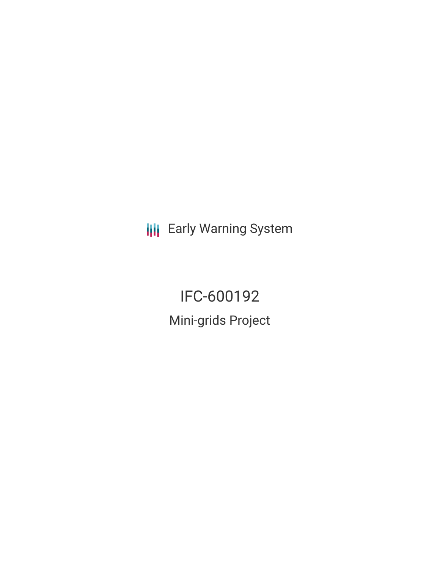**III** Early Warning System

IFC-600192 Mini-grids Project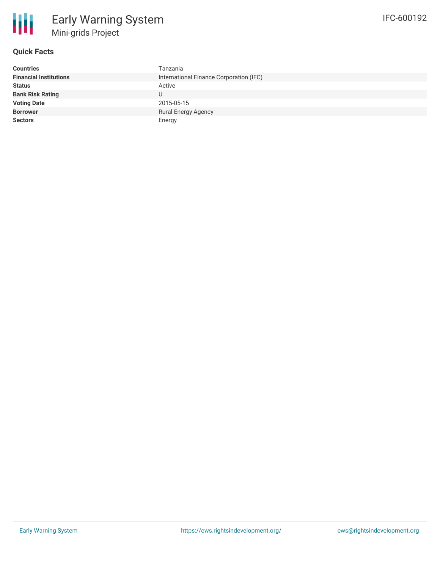

# **Quick Facts**

| <b>Countries</b>              | Tanzania                                |
|-------------------------------|-----------------------------------------|
| <b>Financial Institutions</b> | International Finance Corporation (IFC) |
| <b>Status</b>                 | Active                                  |
| <b>Bank Risk Rating</b>       | U                                       |
| <b>Voting Date</b>            | 2015-05-15                              |
| <b>Borrower</b>               | <b>Rural Energy Agency</b>              |
| <b>Sectors</b>                | Energy                                  |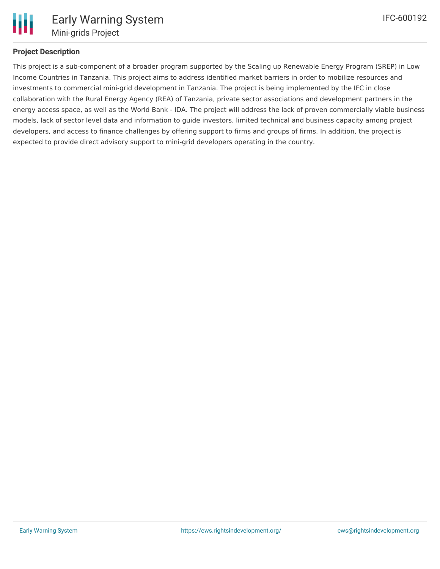

## **Project Description**

This project is a sub-component of a broader program supported by the Scaling up Renewable Energy Program (SREP) in Low Income Countries in Tanzania. This project aims to address identified market barriers in order to mobilize resources and investments to commercial mini-grid development in Tanzania. The project is being implemented by the IFC in close collaboration with the Rural Energy Agency (REA) of Tanzania, private sector associations and development partners in the energy access space, as well as the World Bank - IDA. The project will address the lack of proven commercially viable business models, lack of sector level data and information to guide investors, limited technical and business capacity among project developers, and access to finance challenges by offering support to firms and groups of firms. In addition, the project is expected to provide direct advisory support to mini-grid developers operating in the country.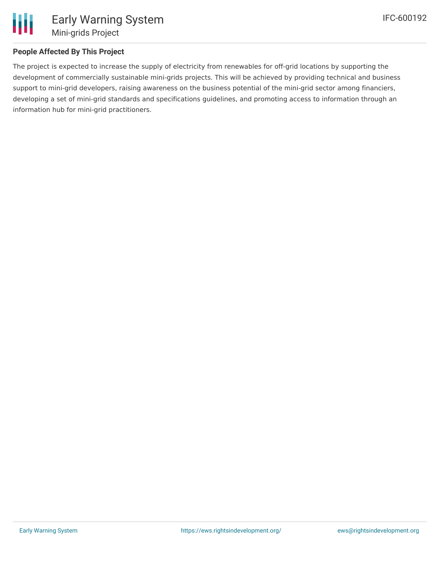

# **People Affected By This Project**

The project is expected to increase the supply of electricity from renewables for off-grid locations by supporting the development of commercially sustainable mini-grids projects. This will be achieved by providing technical and business support to mini-grid developers, raising awareness on the business potential of the mini-grid sector among financiers, developing a set of mini-grid standards and specifications guidelines, and promoting access to information through an information hub for mini-grid practitioners.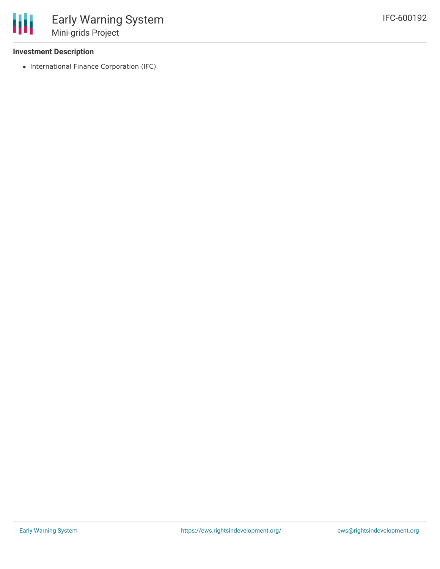### **Investment Description**

• International Finance Corporation (IFC)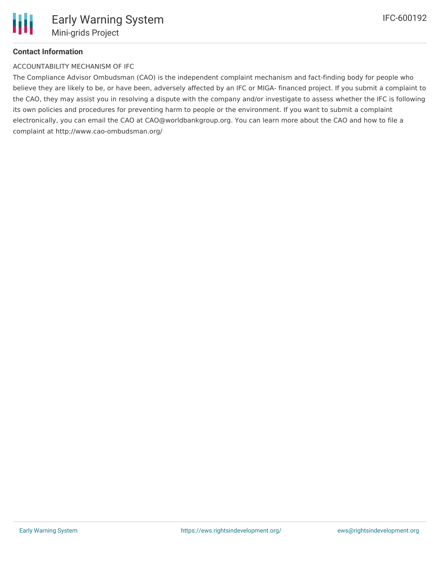# **Contact Information**

#### ACCOUNTABILITY MECHANISM OF IFC

The Compliance Advisor Ombudsman (CAO) is the independent complaint mechanism and fact-finding body for people who believe they are likely to be, or have been, adversely affected by an IFC or MIGA- financed project. If you submit a complaint to the CAO, they may assist you in resolving a dispute with the company and/or investigate to assess whether the IFC is following its own policies and procedures for preventing harm to people or the environment. If you want to submit a complaint electronically, you can email the CAO at CAO@worldbankgroup.org. You can learn more about the CAO and how to file a complaint at http://www.cao-ombudsman.org/